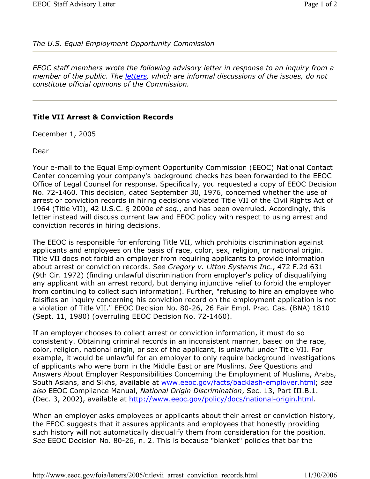## *The U.S. Equal Employment Opportunity Commission*

*EEOC staff members wrote the following advisory letter in response to an inquiry from a member of the public. The letters, which are informal discussions of the issues, do not constitute official opinions of the Commission.* 

## **Title VII Arrest & Conviction Records**

December 1, 2005

Dear

Your e-mail to the Equal Employment Opportunity Commission (EEOC) National Contact Center concerning your company's background checks has been forwarded to the EEOC Office of Legal Counsel for response. Specifically, you requested a copy of EEOC Decision No. 72-1460. This decision, dated September 30, 1976, concerned whether the use of arrest or conviction records in hiring decisions violated Title VII of the Civil Rights Act of 1964 (Title VII), 42 U.S.C. § 2000e *et seq.*, and has been overruled. Accordingly, this letter instead will discuss current law and EEOC policy with respect to using arrest and conviction records in hiring decisions.

The EEOC is responsible for enforcing Title VII, which prohibits discrimination against applicants and employees on the basis of race, color, sex, religion, or national origin. Title VII does not forbid an employer from requiring applicants to provide information about arrest or conviction records. *See Gregory v. Litton Systems Inc.*, 472 F.2d 631 (9th Cir. 1972) (finding unlawful discrimination from employer's policy of disqualifying any applicant with an arrest record, but denying injunctive relief to forbid the employer from continuing to collect such information). Further, "refusing to hire an employee who falsifies an inquiry concerning his conviction record on the employment application is not a violation of Title VII." EEOC Decision No. 80-26, 26 Fair Empl. Prac. Cas. (BNA) 1810 (Sept. 11, 1980) (overruling EEOC Decision No. 72-1460).

If an employer chooses to collect arrest or conviction information, it must do so consistently. Obtaining criminal records in an inconsistent manner, based on the race, color, religion, national origin, or sex of the applicant, is unlawful under Title VII. For example, it would be unlawful for an employer to only require background investigations of applicants who were born in the Middle East or are Muslims. *See* Questions and Answers About Employer Responsibilities Concerning the Employment of Muslims, Arabs, South Asians, and Sikhs, available at www.eeoc.gov/facts/backlash-employer.html; *see also* EEOC Compliance Manual, *National Origin Discrimination*, Sec. 13, Part III.B.1. (Dec. 3, 2002), available at http://www.eeoc.gov/policy/docs/national-origin.html.

When an employer asks employees or applicants about their arrest or conviction history, the EEOC suggests that it assures applicants and employees that honestly providing such history will not automatically disqualify them from consideration for the position. *See* EEOC Decision No. 80-26, n. 2. This is because "blanket" policies that bar the